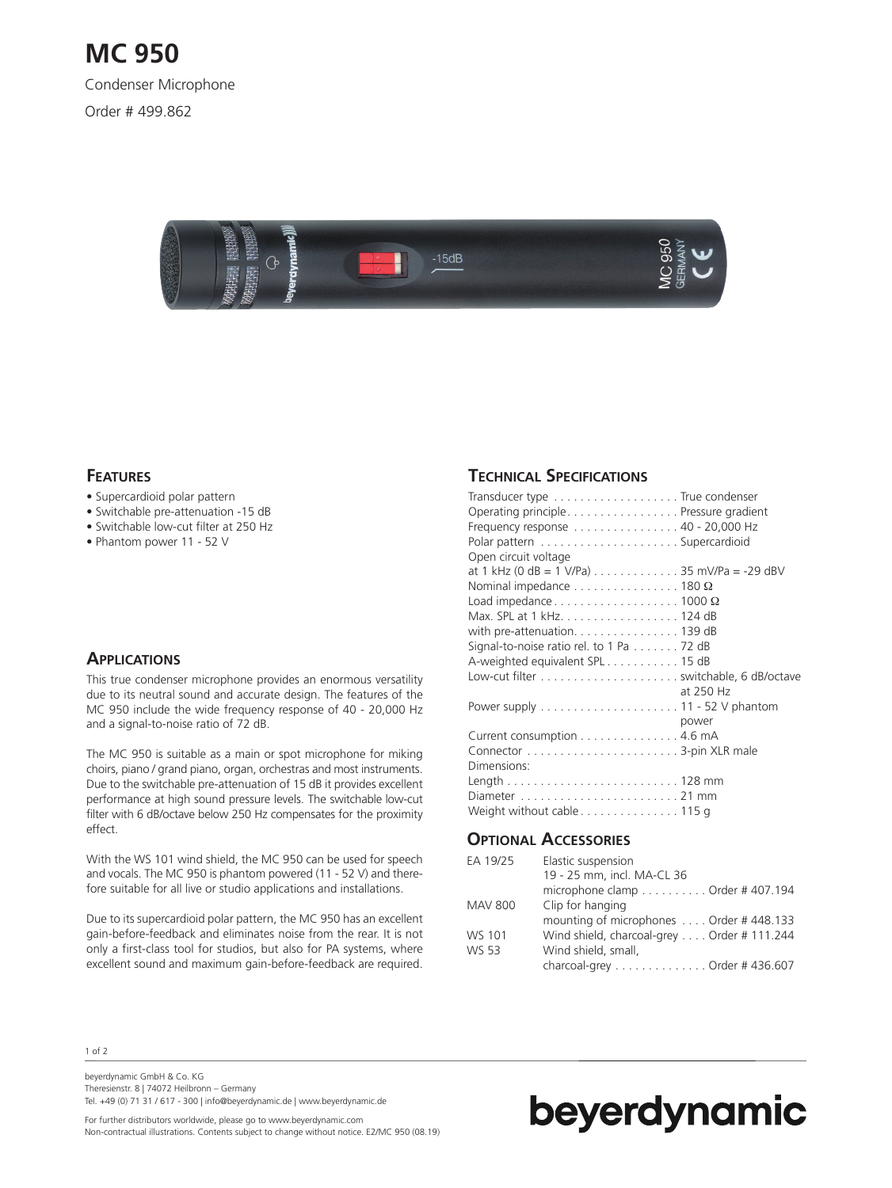

### **FEATURES**

- Supercardioid polar pattern
- Switchable pre-attenuation -15 dB
- Switchable low-cut filter at 250 Hz
- Phantom power 11 52 V

### **APPLICATIONS**

This true condenser microphone provides an enormous versatility due to its neutral sound and accurate design. The features of the MC 950 include the wide frequency response of 40 - 20,000 Hz and a signal-to-noise ratio of 72 dB.

The MC 950 is suitable as a main or spot microphone for miking choirs, piano / grand piano, organ, orchestras and most instruments. Due to the switchable pre-attenuation of 15 dB it provides excellent performance at high sound pressure levels. The switchable low-cut filter with 6 dB/octave below 250 Hz compensates for the proximity effect.

With the WS 101 wind shield, the MC 950 can be used for speech and vocals. The MC 950 is phantom powered (11 - 52 V) and therefore suitable for all live or studio applications and installations.

Due to its supercardioid polar pattern, the MC 950 has an excellent gain-before-feedback and eliminates noise from the rear. It is not only a first-class tool for studios, but also for PA systems, where excellent sound and maximum gain-before-feedback are required.

#### **TECHNICAL SPECIFICATIONS**

| Transducer type True condenser                                            |           |
|---------------------------------------------------------------------------|-----------|
| Operating principle. Pressure gradient                                    |           |
| Frequency response 40 - 20,000 Hz                                         |           |
|                                                                           |           |
| Open circuit voltage                                                      |           |
| at 1 kHz (0 dB = 1 V/Pa) $\ldots \ldots \ldots \ldots 35$ mV/Pa = -29 dBV |           |
| Nominal impedance $\dots \dots \dots \dots \dots \dots$ 180 $\Omega$      |           |
| Load impedance $\dots\dots\dots\dots\dots\dots$ 1000 $\Omega$             |           |
| Max. SPL at 1 kHz. 124 dB                                                 |           |
|                                                                           |           |
| Signal-to-noise ratio rel. to 1 Pa 72 dB                                  |           |
| A-weighted equivalent SPL 15 dB                                           |           |
|                                                                           |           |
|                                                                           | at 250 Hz |
|                                                                           |           |
|                                                                           | power     |
| Current consumption 4.6 mA                                                |           |
|                                                                           |           |
| Dimensions:                                                               |           |
|                                                                           |           |
|                                                                           |           |
| Weight without cable 115 g                                                |           |

### **OPTIONAL ACCESSORIES**

| EA 19/25       | Elastic suspension                                        |
|----------------|-----------------------------------------------------------|
|                | 19 - 25 mm, incl. MA-CL 36                                |
|                | microphone clamp $\dots\dots\dots\dots$ Order #407.194    |
| <b>MAV 800</b> | Clip for hanging                                          |
|                | mounting of microphones  Order #448.133                   |
| WS 101         | Wind shield, charcoal-grey Order # 111.244                |
| <b>WS 53</b>   | Wind shield, small,                                       |
|                | charcoal-grey $\dots\dots\dots\dots\dots$ Order # 436.607 |

1 of 2

beyerdynamic GmbH & Co. KG Theresienstr. 8 | 74072 Heilbronn – Germany Tel. +49 (0) 71 31 / 617 - 300 | info@beyerdynamic.de | www.beyerdynamic.de

For further distributors worldwide, please go to www.beyerdynamic.com Non-contractual illustrations. Contents subject to change without notice. E2/MC 950 (08.19)

# beyerdynamic